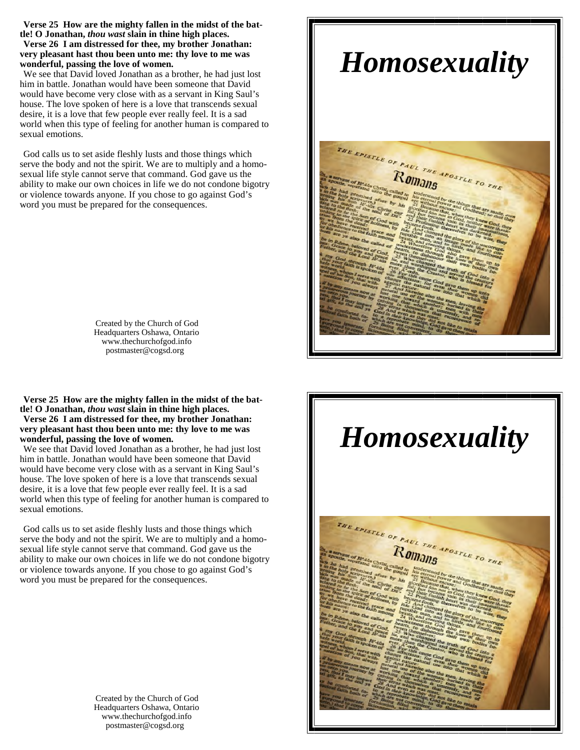**Verse 25 How are the mighty fallen in the midst of the battle! O Jonathan,** *thou wast* **slain in thine high places. Verse 26 I am distressed for thee, my brother Jonathan: very pleasant hast thou been unto me: thy love to me was wonderful, passing the love of women.**

We see that David loved Jonathan as a brother, he had just lost him in battle. Jonathan would have been someone that David would have become very close with as a servant in King Saul's house. The love spoken of here is a love that transcends sexual desire, it is a love that few people ever really feel. It is a sad world when this type of feeling for another human is compared to sexual emotions.

God calls us to set aside fleshly lusts and those things which serve the body and not the spirit. We are to multiply and a homosexual life style cannot serve that command. God gave us the ability to make our own choices in life we do not condone bigotry or violence towards anyone. If you chose to go against God's word you must be prepared for the consequences.

> Created by the Church of God Headquarters Oshawa, Ontario www.thechurchofgod.info postmaster@cogsd.org

**Verse 25 How are the mighty fallen in the midst of the battle! O Jonathan,** *thou wast* **slain in thine high places. Verse 26 I am distressed for thee, my brother Jonathan: very pleasant hast thou been unto me: thy love to me was wonderful, passing the love of women.**

We see that David loved Jonathan as a brother, he had just lost him in battle. Jonathan would have been someone that David would have become very close with as a servant in King Saul's house. The love spoken of here is a love that transcends sexual desire, it is a love that few people ever really feel. It is a sad world when this type of feeling for another human is compared to sexual emotions.

God calls us to set aside fleshly lusts and those things which serve the body and not the spirit. We are to multiply and a homosexual life style cannot serve that command. God gave us the ability to make our own choices in life we do not condone bigotry or violence towards anyone. If you chose to go against God's word you must be prepared for the consequences.

> Created by the Church of God Headquarters Oshawa, Ontario www.thechurchofgod.info postmaster@cogsd.org